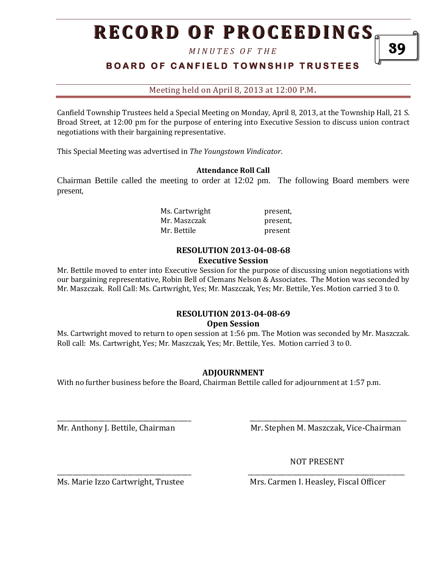# **RECORD OF PROCEEDINGS**

*M I N U T E S O F T H E* 

## **BOARD OF CANFIELD TOWNSHIP TRUSTEES**

Meeting held on April 8, 2013 at 12:00 P.M**.**

Canfield Township Trustees held a Special Meeting on Monday, April 8, 2013, at the Township Hall, 21 S. Broad Street, at 12:00 pm for the purpose of entering into Executive Session to discuss union contract negotiations with their bargaining representative.

This Special Meeting was advertised in *The Youngstown Vindicator*.

#### **Attendance Roll Call**

Chairman Bettile called the meeting to order at 12:02 pm. The following Board members were present,

> Ms. Cartwright present, Mr. Maszczak **present**, Mr. Bettile **present**

#### **RESOLUTION 2013-04-08-68 Executive Session**

Mr. Bettile moved to enter into Executive Session for the purpose of discussing union negotiations with our bargaining representative, Robin Bell of Clemans Nelson & Associates. The Motion was seconded by Mr. Maszczak. Roll Call: Ms. Cartwright, Yes; Mr. Maszczak, Yes; Mr. Bettile, Yes. Motion carried 3 to 0.

#### **RESOLUTION 2013-04-08-69 Open Session**

Ms. Cartwright moved to return to open session at 1:56 pm. The Motion was seconded by Mr. Maszczak. Roll call: Ms. Cartwright, Yes; Mr. Maszczak, Yes; Mr. Bettile, Yes. Motion carried 3 to 0.

#### **ADJOURNMENT**

\_\_\_\_\_\_\_\_\_\_\_\_\_\_\_\_\_\_\_\_\_\_\_\_\_\_\_\_\_\_\_\_\_\_\_\_\_\_\_\_\_\_ \_\_\_\_\_\_\_\_\_\_\_\_\_\_\_\_\_\_\_\_\_\_\_\_\_\_\_\_\_\_\_\_\_\_\_\_\_\_\_\_\_\_\_\_\_\_\_\_\_

\_\_\_\_\_\_\_\_\_\_\_\_\_\_\_\_\_\_\_\_\_\_\_\_\_\_\_\_\_\_\_\_\_\_\_\_\_\_\_\_\_\_ \_\_\_\_\_\_\_\_\_\_\_\_\_\_\_\_\_\_\_\_\_\_\_\_\_\_\_\_\_\_\_\_\_\_\_\_\_\_\_\_\_\_\_\_\_\_\_\_\_

With no further business before the Board, Chairman Bettile called for adjournment at 1:57 p.m.

Mr. Anthony J. Bettile, Chairman Mr. Stephen M. Maszczak, Vice-Chairman

NOT PRESENT

Ms. Marie Izzo Cartwright, Trustee Mrs. Carmen I. Heasley, Fiscal Officer

39